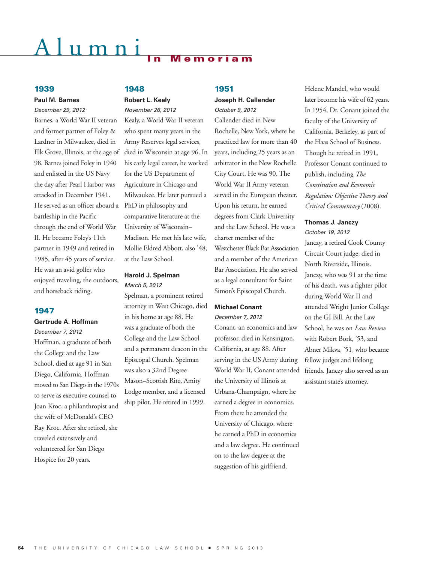# umn<sub>1</sub>

### **1939**

### **Paul M. Barnes**

### *December 29, 2012*

Barnes, a World War II veteran and former partner of Foley & Lardner in Milwaukee, died in Elk Grove, Illinois, at the age of 98. Barnes joined Foley in 1940 and enlisted in the US Navy the day after Pearl Harbor was attacked in December 1941. He served as an officer aboard a PhD in philosophy and battleship in the Pacific through the end of World War II. He became Foley's 11th partner in 1949 and retired in 1985, after 45 years of service. He was an avid golfer who enjoyed traveling, the outdoors, and horseback riding.

### **1947**

### **Gertrude A. Hoffman**

*December 7, 2012* Hoffman, a graduate of both the College and the Law School, died at age 91 in San Diego, California. Hoffman moved to San Diego in the 1970s to serve as executive counsel to Joan Kroc, a philanthropist and the wife of McDonald's CEO Ray Kroc. After she retired, she traveled extensively and volunteered for San Diego Hospice for 20 years.

### **1948**

### **Robert L. Kealy** *November 26, 2012*

Kealy, a World War II veteran who spent many years in the Army Reserves legal services, died in Wisconsin at age 96. In his early legal career, he worked for the US Department of Agriculture in Chicago and Milwaukee. He later pursued a comparative literature at the University of Wisconsin– Madison. He met his late wife, Mollie Eldred Abbott, also '48, at the Law School.

### **Harold J. Spelman** *March 5, 2012*

Spelman, a prominent retired attorney in West Chicago, died in his home at age 88. He was a graduate of both the College and the Law School and a permanent deacon in the Episcopal Church. Spelman was also a 32nd Degree Mason–Scottish Rite, Amity Lodge member, and a licensed ship pilot. He retired in 1999.

### **1951**

### **Joseph H. Callender** *October 9, 2012*

Callender died in New Rochelle, New York, where he practiced law for more than 40 years, including 25 years as an arbitrator in the New Rochelle City Court. He was 90. The World War II Army veteran served in the European theater. Upon his return, he earned degrees from Clark University and the Law School. He was a charter member of the Westchester Black Bar Association and a member of the American Bar Association. He also served as a legal consultant for Saint Simon's Episcopal Church.

### **Michael Conant**

### *December 7, 2012*

Conant, an economics and law professor, died in Kensington, California, at age 88. After serving in the US Army during World War II, Conant attended friends. Janczy also served as an the University of Illinois at Urbana-Champaign, where he earned a degree in economics. From there he attended the University of Chicago, where he earned a PhD in economics and a law degree. He continued on to the law degree at the suggestion of his girlfriend,

Helene Mandel, who would later become his wife of 62 years. In 1954, Dr. Conant joined the faculty of the University of California, Berkeley, as part of the Haas School of Business. Though he retired in 1991, Professor Conant continued to publish, including *The Constitution and Economic Regulation: Objective Theory and Critical Commentary* (2008).

### **Thomas J. Janczy** *October 19, 2012*

Janczy, a retired Cook County Circuit Court judge, died in North Riverside, Illinois. Janczy, who was 91 at the time of his death, was a fighter pilot during World War II and attended Wright Junior College on the GI Bill. At the Law School, he was on *Law Review* with Robert Bork, '53, and Abner Mikva, '51, who became fellow judges and lifelong assistant state's attorney.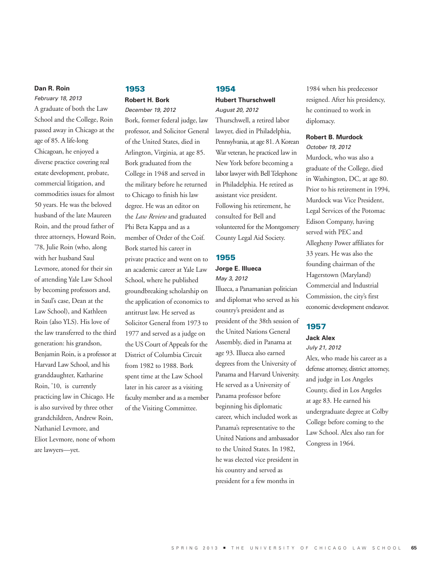### **Dan R. Roin**

*February 18, 2013* A graduate of both the Law School and the College, Roin passed away in Chicago at the age of 85. A life-long Chicagoan, he enjoyed a diverse practice covering real estate development, probate, commercial litigation, and commodities issues for almost 50 years. He was the beloved husband of the late Maureen Roin, and the proud father of three attorneys, Howard Roin, '78, Julie Roin (who, along with her husband Saul Levmore, atoned for their sin of attending Yale Law School by becoming professors and, in Saul's case, Dean at the Law School), and Kathleen Roin (also YLS). His love of the law transferred to the third generation: his grandson, Benjamin Roin, is a professor at Harvard Law School, and his granddaughter, Katharine Roin, '10, is currently practicing law in Chicago. He is also survived by three other grandchildren, Andrew Roin, Nathaniel Levmore, and Eliot Levmore, none of whom are lawyers—yet.

### **1953 Robert H. Bork**

### *December 19, 2012*

Bork, former federal judge, law professor, and Solicitor General of the United States, died in Arlington, Virginia, at age 85. Bork graduated from the College in 1948 and served in the military before he returned to Chicago to finish his law degree. He was an editor on the *Law Review* and graduated Phi Beta Kappa and as a member of Order of the Coif. Bork started his career in private practice and went on to an academic career at Yale Law School, where he published groundbreaking scholarship on the application of economics to antitrust law. He served as Solicitor General from 1973 to 1977 and served as a judge on the US Court of Appeals for the District of Columbia Circuit from 1982 to 1988. Bork spent time at the Law School later in his career as a visiting faculty member and as a member of the Visiting Committee.

### **1954**

### **Hubert Thurschwell** *August 20, 2012*

Thurschwell, a retired labor lawyer, died in Philadelphia, Pennsylvania, at age 81. A Korean War veteran, he practiced law in New York before becoming a labor lawyer with Bell Telephone in Philadelphia. He retired as assistant vice president. Following his retirement, he consulted for Bell and volunteered for the Montgomery County Legal Aid Society.

### **1955**

### **Jorge E. Illueca**  *May 3, 2012*

Illueca, a Panamanian politician and diplomat who served as his country's president and as president of the 38th session of the United Nations General Assembly, died in Panama at age 93. Illueca also earned degrees from the University of Panama and Harvard University. He served as a University of Panama professor before beginning his diplomatic career, which included work as Panama's representative to the United Nations and ambassador to the United States. In 1982, he was elected vice president in his country and served as president for a few months in

1984 when his predecessor resigned. After his presidency, he continued to work in diplomacy.

### **Robert B. Murdock**

*October 19, 2012* Murdock, who was also a graduate of the College, died in Washington, DC, at age 80. Prior to his retirement in 1994, Murdock was Vice President, Legal Services of the Potomac Edison Company, having served with PEC and Allegheny Power affiliates for 33 years. He was also the founding chairman of the Hagerstown (Maryland) Commercial and Industrial Commission, the city's first economic development endeavor.

### **1957**

### **Jack Alex**

*July 21, 2012*

Alex, who made his career as a defense attorney, district attorney, and judge in Los Angeles County, died in Los Angeles at age 83. He earned his undergraduate degree at Colby College before coming to the Law School. Alex also ran for Congress in 1964.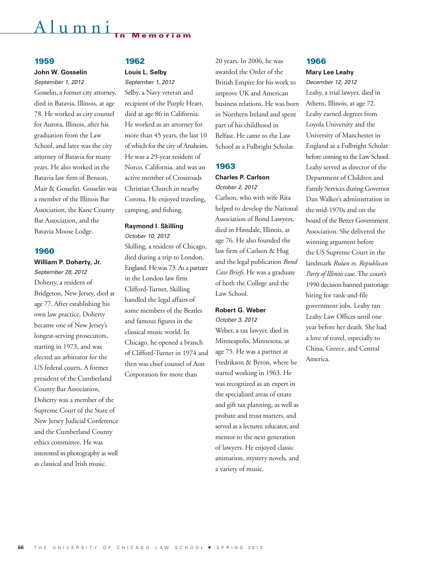## Alumni **In Memoriam**

### **1959**

### **John W. Gosselin**

*September 1, 2012*

Gosselin, a former city attorney, died in Batavia, Illinois, at age 78. He worked as city counsel for Aurora, Illinois, after his graduation from the Law School, and later was the city attorney of Batavia for many years. He also worked in the Batavia law firm of Benson, Mair & Gosselin. Gosselin was a member of the Illinois Bar Association, the Kane County Bar Association, and the Batavia Moose Lodge.

### **1960**

**William P. Doherty, Jr.**

*September 28, 2012* Doherty, a resident of Bridgeton, New Jersey, died at age 77. After establishing his own law practice, Doherty became one of New Jersey's longest-serving prosecutors, starting in 1973, and was elected an arbitrator for the US federal courts. A former president of the Cumberland County Bar Association, Doherty was a member of the Supreme Court of the State of New Jersey Judicial Conference and the Cumberland County ethics committee. He was interested in photography as well as classical and Irish music.

### **1962**

### **Louis L. Selby**

*September 1, 2012* Selby, a Navy veteran and recipient of the Purple Heart, died at age 86 in California. He worked as an attorney for more than 45 years, the last 10 of which for the city of Anaheim. He was a 29-year resident of Norco, California, and was an active member of Crossroads Christian Church in nearby Corona. He enjoyed traveling, camping, and fishing.

### **Raymond I. Skilling**

*October 10, 2012* Skilling, a resident of Chicago, died during a trip to London, England. He was 73. As a partner in the London law firm Clifford-Turner, Skilling handled the legal affairs of some members of the Beatles and famous figures in the classical music world. In Chicago, he opened a branch of Clifford-Turner in 1974 and then was chief counsel of Aon Corporation for more than

20 years. In 2006, he was awarded the Order of the British Empire for his work to improve UK and American business relations. He was born in Northern Ireland and spent part of his childhood in Belfast. He came to the Law School as a Fulbright Scholar.

### **1963**

### **Charles P. Carlson** *October 2, 2012*

Carlson, who with wife Rita helped to develop the National Association of Bond Lawyers, died in Hinsdale, Illinois, at age 76. He also founded the law firm of Carlson & Hug and the legal publication *Bond Case Briefs*. He was a graduate of both the College and the Law School.

### **Robert G. Weber**

*October 3, 2012*

Weber, a tax lawyer, died in Minneapolis, Minnesota, at age 75. He was a partner at Fredrikson & Byron, where he started working in 1963. He was recognized as an expert in the specialized areas of estate and gift tax planning, as well as probate and trust matters, and served as a lecturer, educator, and mentor to the next generation of lawyers. He enjoyed classic animation, mystery novels, and a variety of music.

### **1966**

### **Mary Lee Leahy**

*December 12, 2012* Leahy, a trial lawyer, died in Athens, Illinois, at age 72. Leahy earned degrees from Loyola University and the University of Manchester in England as a Fulbright Scholar before coming to the Law School. Leahy served as director of the Department of Children and Family Services during Governor Dan Walker's administration in the mid-1970s and on the board of the Better Government Association. She delivered the winning argument before the US Supreme Court in the landmark *Rutan vs. Republican Party of Illinois* case. The court's 1990 decision banned patronage hiring for rank-and-file government jobs. Leahy ran Leahy Law Offices until one year before her death. She had a love of travel, especially to China, Greece, and Central America.